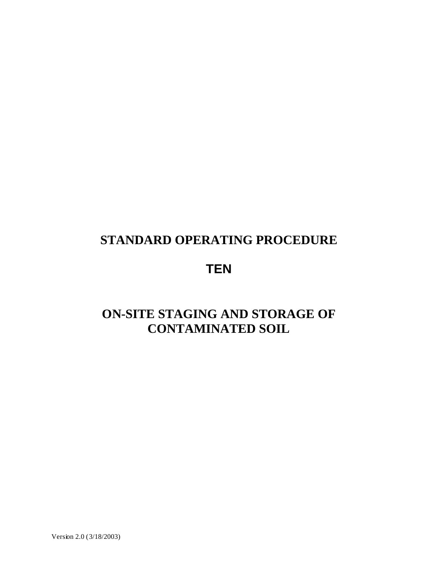## **STANDARD OPERATING PROCEDURE**

# **TEN**

# **ON-SITE STAGING AND STORAGE OF CONTAMINATED SOIL**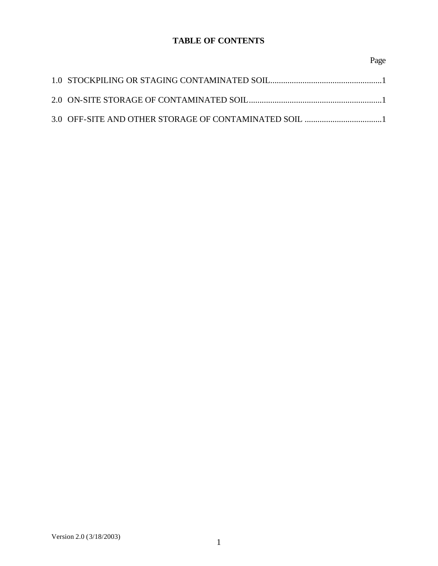## **TABLE OF CONTENTS**

### Page